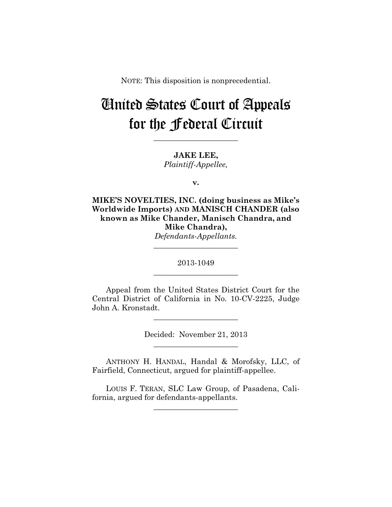NOTE: This disposition is nonprecedential.

# United States Court of Appeals for the Federal Circuit

**JAKE LEE,** *Plaintiff-Appellee,*

**\_\_\_\_\_\_\_\_\_\_\_\_\_\_\_\_\_\_\_\_\_\_** 

**v.**

**MIKE'S NOVELTIES, INC. (doing business as Mike's Worldwide Imports) AND MANISCH CHANDER (also known as Mike Chander, Manisch Chandra, and Mike Chandra),** *Defendants-Appellants.*

> 2013-1049 **\_\_\_\_\_\_\_\_\_\_\_\_\_\_\_\_\_\_\_\_\_\_**

> **\_\_\_\_\_\_\_\_\_\_\_\_\_\_\_\_\_\_\_\_\_\_**

Appeal from the United States District Court for the Central District of California in No. 10-CV-2225, Judge John A. Kronstadt.

> Decided: November 21, 2013 **\_\_\_\_\_\_\_\_\_\_\_\_\_\_\_\_\_\_\_\_\_\_**

**\_\_\_\_\_\_\_\_\_\_\_\_\_\_\_\_\_\_\_\_\_\_** 

ANTHONY H. HANDAL, Handal & Morofsky, LLC, of Fairfield, Connecticut, argued for plaintiff-appellee.

LOUIS F. TERAN, SLC Law Group, of Pasadena, California, argued for defendants-appellants.

**\_\_\_\_\_\_\_\_\_\_\_\_\_\_\_\_\_\_\_\_\_\_**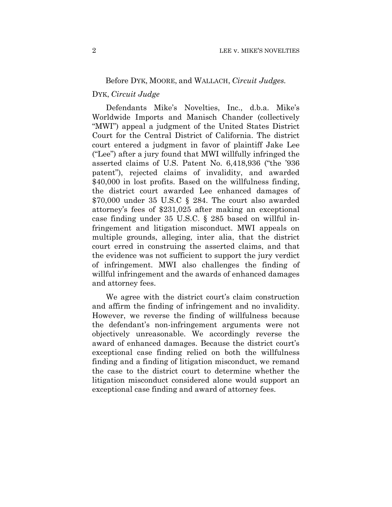## Before DYK, MOORE, and WALLACH, *Circuit Judges.*

# DYK, *Circuit Judge*

Defendants Mike's Novelties, Inc., d.b.a. Mike's Worldwide Imports and Manisch Chander (collectively "MWI") appeal a judgment of the United States District Court for the Central District of California. The district court entered a judgment in favor of plaintiff Jake Lee ("Lee") after a jury found that MWI willfully infringed the asserted claims of U.S. Patent No. 6,418,936 ("the '936 patent"), rejected claims of invalidity, and awarded \$40,000 in lost profits. Based on the willfulness finding, the district court awarded Lee enhanced damages of \$70,000 under 35 U.S.C § 284. The court also awarded attorney's fees of \$231,025 after making an exceptional case finding under 35 U.S.C. § 285 based on willful infringement and litigation misconduct. MWI appeals on multiple grounds, alleging, inter alia, that the district court erred in construing the asserted claims, and that the evidence was not sufficient to support the jury verdict of infringement. MWI also challenges the finding of willful infringement and the awards of enhanced damages and attorney fees.

We agree with the district court's claim construction and affirm the finding of infringement and no invalidity. However, we reverse the finding of willfulness because the defendant's non-infringement arguments were not objectively unreasonable. We accordingly reverse the award of enhanced damages. Because the district court's exceptional case finding relied on both the willfulness finding and a finding of litigation misconduct, we remand the case to the district court to determine whether the litigation misconduct considered alone would support an exceptional case finding and award of attorney fees.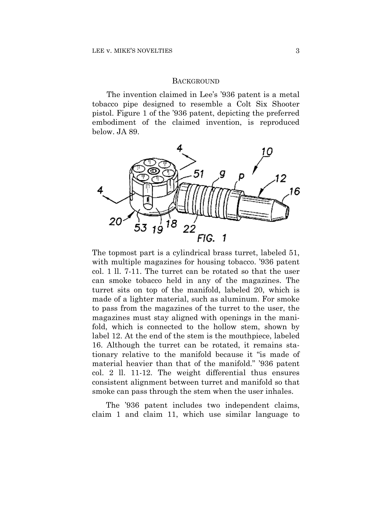#### **BACKGROUND**

The invention claimed in Lee's '936 patent is a metal tobacco pipe designed to resemble a Colt Six Shooter pistol. Figure 1 of the '936 patent, depicting the preferred embodiment of the claimed invention, is reproduced below. JA 89.



The topmost part is a cylindrical brass turret, labeled 51, with multiple magazines for housing tobacco. '936 patent col. 1 ll. 7-11. The turret can be rotated so that the user can smoke tobacco held in any of the magazines. The turret sits on top of the manifold, labeled 20, which is made of a lighter material, such as aluminum. For smoke to pass from the magazines of the turret to the user, the magazines must stay aligned with openings in the manifold, which is connected to the hollow stem, shown by label 12. At the end of the stem is the mouthpiece, labeled 16. Although the turret can be rotated, it remains stationary relative to the manifold because it "is made of material heavier than that of the manifold." '936 patent col. 2 ll. 11-12. The weight differential thus ensures consistent alignment between turret and manifold so that smoke can pass through the stem when the user inhales.

The '936 patent includes two independent claims, claim 1 and claim 11, which use similar language to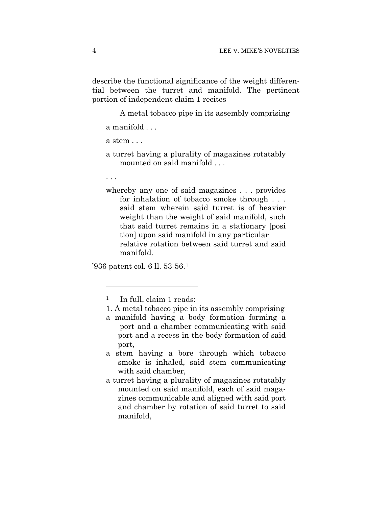describe the functional significance of the weight differential between the turret and manifold. The pertinent portion of independent claim 1 recites

A metal tobacco pipe in its assembly comprising

a manifold . . .

a stem . . .

- a turret having a plurality of magazines rotatably mounted on said manifold . . .
- . . .

1

whereby any one of said magazines . . . provides for inhalation of tobacco smoke through . . . said stem wherein said turret is of heavier weight than the weight of said manifold, such that said turret remains in a stationary [posi tion] upon said manifold in any particular relative rotation between said turret and said manifold.

'936 patent col. 6 ll. 53-56.1

- a stem having a bore through which tobacco smoke is inhaled, said stem communicating with said chamber,
- a turret having a plurality of magazines rotatably mounted on said manifold, each of said magazines communicable and aligned with said port and chamber by rotation of said turret to said manifold,

<sup>1</sup> In full, claim 1 reads:

<sup>1.</sup> A metal tobacco pipe in its assembly comprising

a manifold having a body formation forming a port and a chamber communicating with said port and a recess in the body formation of said port,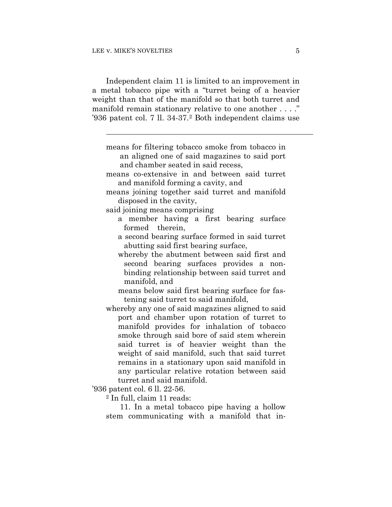Independent claim 11 is limited to an improvement in a metal tobacco pipe with a "turret being of a heavier weight than that of the manifold so that both turret and manifold remain stationary relative to one another . . . ." '936 patent col. 7 ll. 34-37.2 Both independent claims use

| means for filtering tobacco smoke from tobacco in |
|---------------------------------------------------|
| an aligned one of said magazines to said port     |
| and chamber seated in said recess,                |
| means co-extensive in and between said turret     |
| and manifold forming a cavity, and                |
| means joining together said turret and manifold   |
| disposed in the cavity,                           |
| said joining means comprising                     |
| a member having a first bearing surface           |
| formed therein,                                   |
| a second bearing surface formed in said turret    |
| abutting said first bearing surface,              |
| whereby the abutment between said first and       |
| second bearing surfaces provides a non-           |
| binding relationship between said turret and      |
| manifold, and                                     |
| means below said first bearing surface for fas-   |
| tening said turret to said manifold,              |
| whereby any one of said magazines aligned to said |
| port and chamber upon rotation of turret to       |
| manifold provides for inhalation of tobacco       |
| smoke through said bore of said stem wherein      |
| said turret is of heavier weight than the         |
| weight of said manifold, such that said turret    |
| remains in a stationary upon said manifold in     |
| any particular relative rotation between said     |
| turret and said manifold.                         |
| '936 patent col. 6 ll. 22-56.                     |
| <sup>2</sup> In full, claim 11 reads:             |
| 11. In a metal tobacco pipe having a hollow       |
|                                                   |

stem communicating with a manifold that in-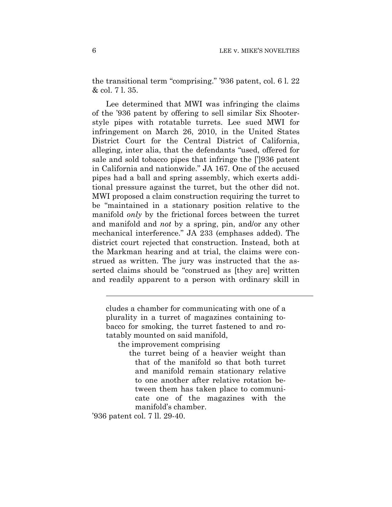the transitional term "comprising." '936 patent, col. 6 l. 22 & col. 7 l. 35.

 Lee determined that MWI was infringing the claims of the '936 patent by offering to sell similar Six Shooterstyle pipes with rotatable turrets. Lee sued MWI for infringement on March 26, 2010, in the United States District Court for the Central District of California, alleging, inter alia, that the defendants "used, offered for sale and sold tobacco pipes that infringe the [']936 patent in California and nationwide." JA 167. One of the accused pipes had a ball and spring assembly, which exerts additional pressure against the turret, but the other did not. MWI proposed a claim construction requiring the turret to be "maintained in a stationary position relative to the manifold *only* by the frictional forces between the turret and manifold and *not* by a spring, pin, and/or any other mechanical interference." JA 233 (emphases added). The district court rejected that construction. Instead, both at the Markman hearing and at trial, the claims were construed as written. The jury was instructed that the asserted claims should be "construed as [they are] written and readily apparent to a person with ordinary skill in

cludes a chamber for communicating with one of a plurality in a turret of magazines containing tobacco for smoking, the turret fastened to and rotatably mounted on said manifold,

the improvement comprising

the turret being of a heavier weight than that of the manifold so that both turret and manifold remain stationary relative to one another after relative rotation between them has taken place to communicate one of the magazines with the manifold's chamber.

'936 patent col. 7 ll. 29-40.

 $\overline{a}$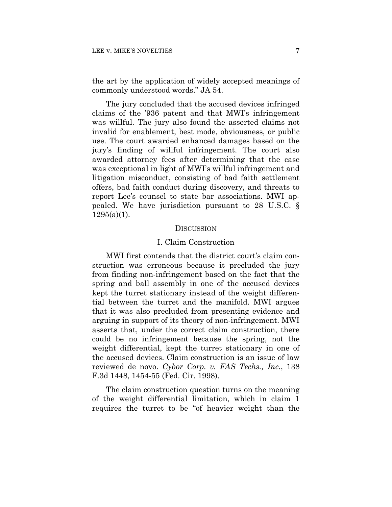the art by the application of widely accepted meanings of commonly understood words." JA 54.

The jury concluded that the accused devices infringed claims of the '936 patent and that MWI's infringement was willful. The jury also found the asserted claims not invalid for enablement, best mode, obviousness, or public use. The court awarded enhanced damages based on the jury's finding of willful infringement. The court also awarded attorney fees after determining that the case was exceptional in light of MWI's willful infringement and litigation misconduct, consisting of bad faith settlement offers, bad faith conduct during discovery, and threats to report Lee's counsel to state bar associations. MWI appealed. We have jurisdiction pursuant to 28 U.S.C. §  $1295(a)(1)$ .

#### **DISCUSSION**

#### I. Claim Construction

MWI first contends that the district court's claim construction was erroneous because it precluded the jury from finding non-infringement based on the fact that the spring and ball assembly in one of the accused devices kept the turret stationary instead of the weight differential between the turret and the manifold. MWI argues that it was also precluded from presenting evidence and arguing in support of its theory of non-infringement. MWI asserts that, under the correct claim construction, there could be no infringement because the spring, not the weight differential, kept the turret stationary in one of the accused devices. Claim construction is an issue of law reviewed de novo. *Cybor Corp. v. FAS Techs., Inc.*, 138 F.3d 1448, 1454-55 (Fed. Cir. 1998).

The claim construction question turns on the meaning of the weight differential limitation, which in claim 1 requires the turret to be "of heavier weight than the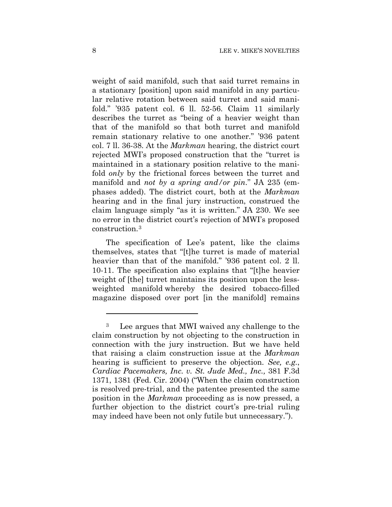weight of said manifold, such that said turret remains in a stationary [position] upon said manifold in any particular relative rotation between said turret and said manifold." '935 patent col. 6 ll. 52-56. Claim 11 similarly describes the turret as "being of a heavier weight than that of the manifold so that both turret and manifold remain stationary relative to one another." '936 patent col. 7 ll. 36-38. At the *Markman* hearing, the district court rejected MWI's proposed construction that the "turret is maintained in a stationary position relative to the manifold *only* by the frictional forces between the turret and manifold and *not by a spring and/or pin*." JA 235 (emphases added). The district court, both at the *Markman* hearing and in the final jury instruction, construed the claim language simply "as it is written." JA 230. We see no error in the district court's rejection of MWI's proposed construction.3

The specification of Lee's patent, like the claims themselves, states that "[t]he turret is made of material heavier than that of the manifold." '936 patent col. 2 ll. 10-11. The specification also explains that "[t]he heavier weight of [the] turret maintains its position upon the lessweighted manifold whereby the desired tobacco-filled magazine disposed over port [in the manifold] remains

1

<sup>3</sup> Lee argues that MWI waived any challenge to the claim construction by not objecting to the construction in connection with the jury instruction. But we have held that raising a claim construction issue at the *Markman* hearing is sufficient to preserve the objection. *See, e.g.*, *Cardiac Pacemakers, Inc. v. St. Jude Med., Inc.,* 381 F.3d 1371, 1381 (Fed. Cir. 2004) ("When the claim construction is resolved pre-trial, and the patentee presented the same position in the *Markman* proceeding as is now pressed, a further objection to the district court's pre-trial ruling may indeed have been not only futile but unnecessary.").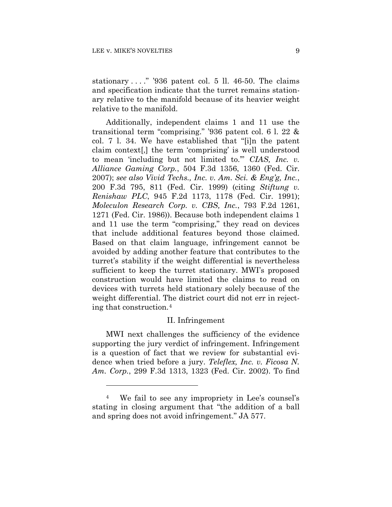1

stationary  $\dots$ ." '936 patent col. 5 ll. 46-50. The claims and specification indicate that the turret remains stationary relative to the manifold because of its heavier weight relative to the manifold.

Additionally, independent claims 1 and 11 use the transitional term "comprising." '936 patent col. 6 l. 22 & col. 7 l. 34. We have established that "[i]n the patent claim context[,] the term 'comprising' is well understood to mean 'including but not limited to.'" *CIAS, Inc. v. Alliance Gaming Corp.*, 504 F.3d 1356, 1360 (Fed. Cir. 2007); *see also Vivid Techs., Inc. v. Am. Sci. & Eng'g, Inc.*, 200 F.3d 795, 811 (Fed. Cir. 1999) (citing *Stiftung v. Renishaw PLC*, 945 F.2d 1173, 1178 (Fed. Cir. 1991); *Moleculon Research Corp. v. CBS, Inc.*, 793 F.2d 1261, 1271 (Fed. Cir. 1986)). Because both independent claims 1 and 11 use the term "comprising," they read on devices that include additional features beyond those claimed. Based on that claim language, infringement cannot be avoided by adding another feature that contributes to the turret's stability if the weight differential is nevertheless sufficient to keep the turret stationary. MWI's proposed construction would have limited the claims to read on devices with turrets held stationary solely because of the weight differential. The district court did not err in rejecting that construction.4

#### II. Infringement

MWI next challenges the sufficiency of the evidence supporting the jury verdict of infringement. Infringement is a question of fact that we review for substantial evidence when tried before a jury. *Teleflex, Inc. v. Ficosa N. Am. Corp.*, 299 F.3d 1313, 1323 (Fed. Cir. 2002). To find

<sup>4</sup> We fail to see any impropriety in Lee's counsel's stating in closing argument that "the addition of a ball and spring does not avoid infringement." JA 577.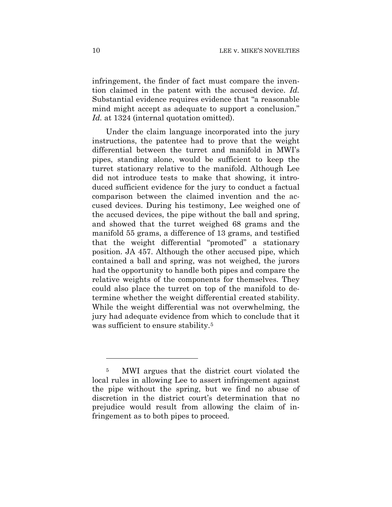infringement, the finder of fact must compare the invention claimed in the patent with the accused device. *Id.* Substantial evidence requires evidence that "a reasonable mind might accept as adequate to support a conclusion." *Id.* at 1324 (internal quotation omitted).

Under the claim language incorporated into the jury instructions, the patentee had to prove that the weight differential between the turret and manifold in MWI's pipes, standing alone, would be sufficient to keep the turret stationary relative to the manifold. Although Lee did not introduce tests to make that showing, it introduced sufficient evidence for the jury to conduct a factual comparison between the claimed invention and the accused devices. During his testimony, Lee weighed one of the accused devices, the pipe without the ball and spring, and showed that the turret weighed 68 grams and the manifold 55 grams, a difference of 13 grams, and testified that the weight differential "promoted" a stationary position. JA 457. Although the other accused pipe, which contained a ball and spring, was not weighed, the jurors had the opportunity to handle both pipes and compare the relative weights of the components for themselves. They could also place the turret on top of the manifold to determine whether the weight differential created stability. While the weight differential was not overwhelming, the jury had adequate evidence from which to conclude that it was sufficient to ensure stability.<sup>5</sup>

1

<sup>5</sup> MWI argues that the district court violated the local rules in allowing Lee to assert infringement against the pipe without the spring, but we find no abuse of discretion in the district court's determination that no prejudice would result from allowing the claim of infringement as to both pipes to proceed.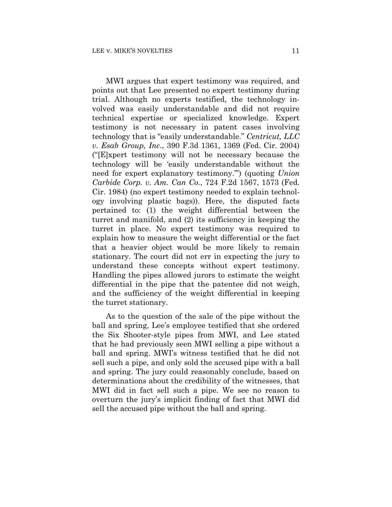MWI argues that expert testimony was required, and points out that Lee presented no expert testimony during trial. Although no experts testified, the technology involved was easily understandable and did not require technical expertise or specialized knowledge. Expert testimony is not necessary in patent cases involving technology that is "easily understandable." *Centricut, LLC v. Esab Group, Inc*., 390 F.3d 1361, 1369 (Fed. Cir. 2004) ("[E]xpert testimony will not be necessary because the technology will be 'easily understandable without the need for expert explanatory testimony.'") (quoting *Union Carbide Corp. v. Am. Can Co.*, 724 F.2d 1567, 1573 (Fed. Cir. 1984) (no expert testimony needed to explain technology involving plastic bags)). Here, the disputed facts pertained to: (1) the weight differential between the turret and manifold, and (2) its sufficiency in keeping the turret in place. No expert testimony was required to explain how to measure the weight differential or the fact that a heavier object would be more likely to remain stationary. The court did not err in expecting the jury to understand these concepts without expert testimony. Handling the pipes allowed jurors to estimate the weight differential in the pipe that the patentee did not weigh, and the sufficiency of the weight differential in keeping the turret stationary.

As to the question of the sale of the pipe without the ball and spring, Lee's employee testified that she ordered the Six Shooter-style pipes from MWI, and Lee stated that he had previously seen MWI selling a pipe without a ball and spring. MWI's witness testified that he did not sell such a pipe, and only sold the accused pipe with a ball and spring. The jury could reasonably conclude, based on determinations about the credibility of the witnesses, that MWI did in fact sell such a pipe. We see no reason to overturn the jury's implicit finding of fact that MWI did sell the accused pipe without the ball and spring.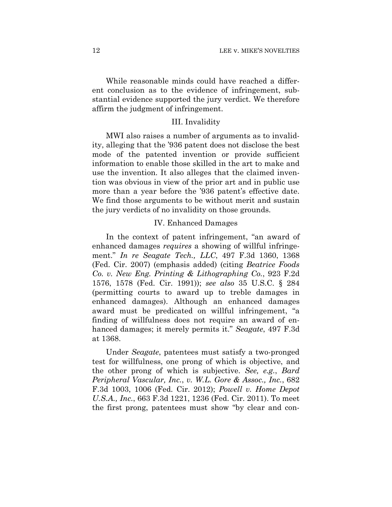While reasonable minds could have reached a different conclusion as to the evidence of infringement, substantial evidence supported the jury verdict. We therefore affirm the judgment of infringement.

#### III. Invalidity

MWI also raises a number of arguments as to invalidity, alleging that the '936 patent does not disclose the best mode of the patented invention or provide sufficient information to enable those skilled in the art to make and use the invention. It also alleges that the claimed invention was obvious in view of the prior art and in public use more than a year before the '936 patent's effective date. We find those arguments to be without merit and sustain the jury verdicts of no invalidity on those grounds.

## IV. Enhanced Damages

In the context of patent infringement, "an award of enhanced damages *requires* a showing of willful infringement." *In re Seagate Tech., LLC*, 497 F.3d 1360, 1368 (Fed. Cir. 2007) (emphasis added) (citing *Beatrice Foods Co. v. New Eng. Printing & Lithographing Co.*, 923 F.2d 1576, 1578 (Fed. Cir. 1991)); *see also* 35 U.S.C. § 284 (permitting courts to award up to treble damages in enhanced damages). Although an enhanced damages award must be predicated on willful infringement, "a finding of willfulness does not require an award of enhanced damages; it merely permits it." *Seagate*, 497 F.3d at 1368.

Under *Seagate*, patentees must satisfy a two-pronged test for willfulness, one prong of which is objective, and the other prong of which is subjective. *See, e.g.*, *Bard Peripheral Vascular, Inc.*, *v. W.L. Gore & Assoc., Inc.*, 682 F.3d 1003, 1006 (Fed. Cir. 2012); *Powell v. Home Depot U.S.A., Inc.*, 663 F.3d 1221, 1236 (Fed. Cir. 2011). To meet the first prong, patentees must show "by clear and con-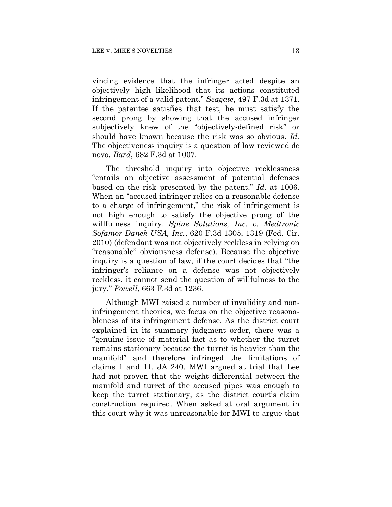vincing evidence that the infringer acted despite an objectively high likelihood that its actions constituted infringement of a valid patent." *Seagate*, 497 F.3d at 1371. If the patentee satisfies that test, he must satisfy the second prong by showing that the accused infringer subjectively knew of the "objectively-defined risk" or should have known because the risk was so obvious. *Id.* The objectiveness inquiry is a question of law reviewed de novo. *Bard*, 682 F.3d at 1007.

 The threshold inquiry into objective recklessness "entails an objective assessment of potential defenses based on the risk presented by the patent." *Id.* at 1006. When an "accused infringer relies on a reasonable defense to a charge of infringement," the risk of infringement is not high enough to satisfy the objective prong of the willfulness inquiry. *Spine Solutions, Inc. v. Medtronic Sofamor Danek USA, Inc.*, 620 F.3d 1305, 1319 (Fed. Cir. 2010) (defendant was not objectively reckless in relying on "reasonable" obviousness defense). Because the objective inquiry is a question of law, if the court decides that "the infringer's reliance on a defense was not objectively reckless, it cannot send the question of willfulness to the jury." *Powell*, 663 F.3d at 1236.

Although MWI raised a number of invalidity and noninfringement theories, we focus on the objective reasonableness of its infringement defense. As the district court explained in its summary judgment order, there was a "genuine issue of material fact as to whether the turret remains stationary because the turret is heavier than the manifold" and therefore infringed the limitations of claims 1 and 11. JA 240. MWI argued at trial that Lee had not proven that the weight differential between the manifold and turret of the accused pipes was enough to keep the turret stationary, as the district court's claim construction required. When asked at oral argument in this court why it was unreasonable for MWI to argue that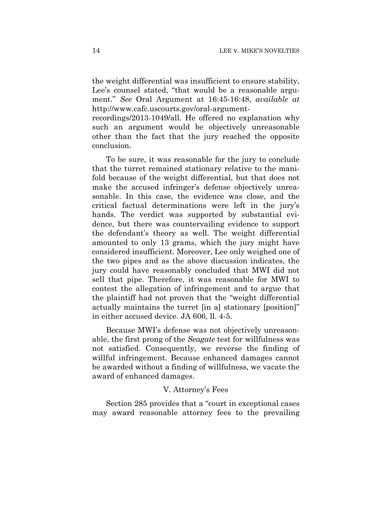the weight differential was insufficient to ensure stability, Lee's counsel stated, "that would be a reasonable argument." *See* Oral Argument at 16:45-16:48, *available at* http://www.cafc.uscourts.gov/oral-argument-

recordings/2013-1049/all. He offered no explanation why such an argument would be objectively unreasonable other than the fact that the jury reached the opposite conclusion.

To be sure, it was reasonable for the jury to conclude that the turret remained stationary relative to the manifold because of the weight differential, but that does not make the accused infringer's defense objectively unreasonable. In this case, the evidence was close, and the critical factual determinations were left in the jury's hands. The verdict was supported by substantial evidence, but there was countervailing evidence to support the defendant's theory as well. The weight differential amounted to only 13 grams, which the jury might have considered insufficient. Moreover, Lee only weighed one of the two pipes and as the above discussion indicates, the jury could have reasonably concluded that MWI did not sell that pipe. Therefore, it was reasonable for MWI to contest the allegation of infringement and to argue that the plaintiff had not proven that the "weight differential actually maintains the turret [in a] stationary [position]" in either accused device. JA 606, ll. 4-5.

Because MWI's defense was not objectively unreasonable, the first prong of the *Seagate* test for willfulness was not satisfied. Consequently, we reverse the finding of willful infringement. Because enhanced damages cannot be awarded without a finding of willfulness, we vacate the award of enhanced damages.

## V. Attorney's Fees

Section 285 provides that a "court in exceptional cases may award reasonable attorney fees to the prevailing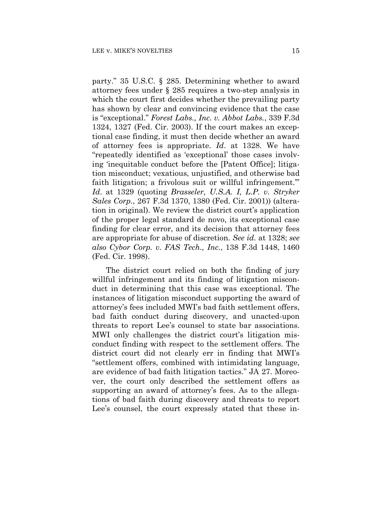party." 35 U.S.C. § 285. Determining whether to award attorney fees under § 285 requires a two-step analysis in which the court first decides whether the prevailing party has shown by clear and convincing evidence that the case is "exceptional." *Forest Labs., Inc. v. Abbot Labs.*, 339 F.3d 1324, 1327 (Fed. Cir. 2003). If the court makes an exceptional case finding, it must then decide whether an award of attorney fees is appropriate. *Id*. at 1328. We have "repeatedly identified as 'exceptional' those cases involving 'inequitable conduct before the [Patent Office]; litigation misconduct; vexatious, unjustified, and otherwise bad faith litigation; a frivolous suit or willful infringement." *Id*. at 1329 (quoting *Brasseler, U.S.A. I, L.P. v. Stryker Sales Corp.*, 267 F.3d 1370, 1380 (Fed. Cir. 2001)) (alteration in original). We review the district court's application of the proper legal standard de novo, its exceptional case finding for clear error, and its decision that attorney fees are appropriate for abuse of discretion. *See id.* at 1328; *see also Cybor Corp. v. FAS Tech., Inc.*, 138 F.3d 1448, 1460 (Fed. Cir. 1998).

The district court relied on both the finding of jury willful infringement and its finding of litigation misconduct in determining that this case was exceptional. The instances of litigation misconduct supporting the award of attorney's fees included MWI's bad faith settlement offers, bad faith conduct during discovery, and unacted-upon threats to report Lee's counsel to state bar associations. MWI only challenges the district court's litigation misconduct finding with respect to the settlement offers. The district court did not clearly err in finding that MWI's "settlement offers, combined with intimidating language, are evidence of bad faith litigation tactics." JA 27. Moreover, the court only described the settlement offers as supporting an award of attorney's fees. As to the allegations of bad faith during discovery and threats to report Lee's counsel, the court expressly stated that these in-